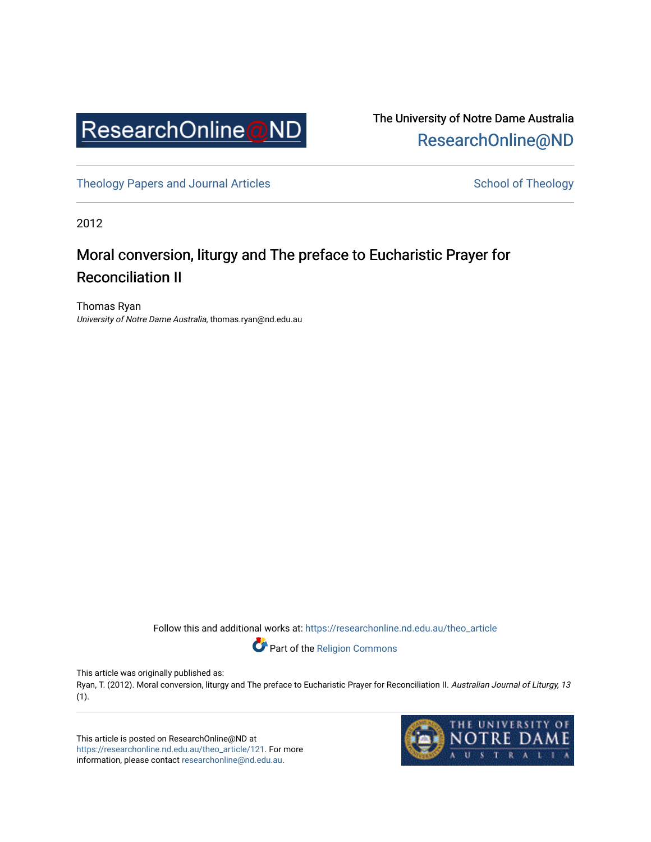

The University of Notre Dame Australia [ResearchOnline@ND](https://researchonline.nd.edu.au/) 

[Theology Papers and Journal Articles](https://researchonline.nd.edu.au/theo_article) and [School of Theology](https://researchonline.nd.edu.au/theo) School of Theology

2012

# Moral conversion, liturgy and The preface to Eucharistic Prayer for Reconciliation II

Thomas Ryan University of Notre Dame Australia, thomas.ryan@nd.edu.au

Follow this and additional works at: [https://researchonline.nd.edu.au/theo\\_article](https://researchonline.nd.edu.au/theo_article?utm_source=researchonline.nd.edu.au%2Ftheo_article%2F121&utm_medium=PDF&utm_campaign=PDFCoverPages) 

Part of the [Religion Commons](http://network.bepress.com/hgg/discipline/538?utm_source=researchonline.nd.edu.au%2Ftheo_article%2F121&utm_medium=PDF&utm_campaign=PDFCoverPages) 

This article was originally published as:

Ryan, T. (2012). Moral conversion, liturgy and The preface to Eucharistic Prayer for Reconciliation II. Australian Journal of Liturgy, 13 (1).

This article is posted on ResearchOnline@ND at [https://researchonline.nd.edu.au/theo\\_article/121](https://researchonline.nd.edu.au/theo_article/121). For more information, please contact [researchonline@nd.edu.au.](mailto:researchonline@nd.edu.au)

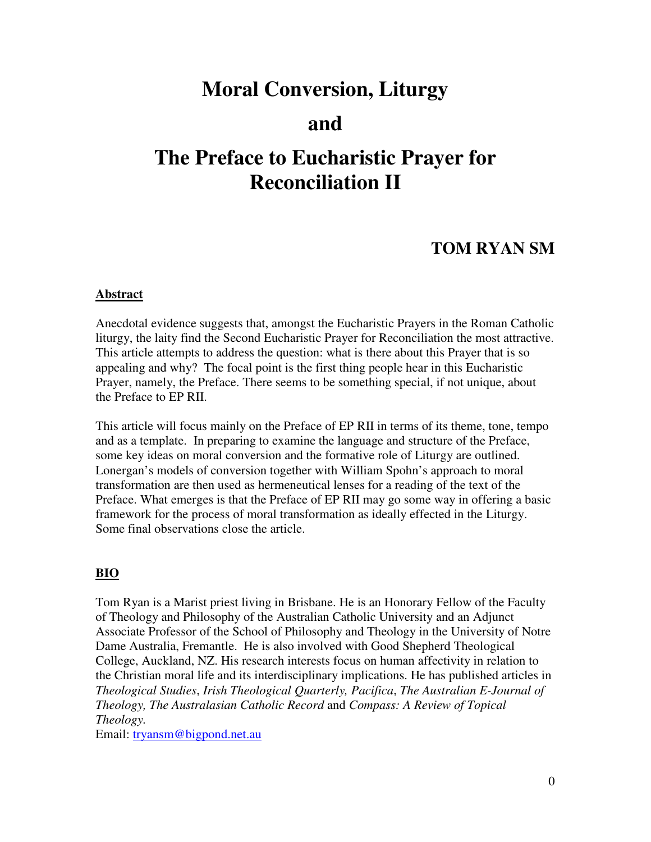# **Moral Conversion, Liturgy**

# **and**

# **The Preface to Eucharistic Prayer for Reconciliation II**

# **TOM RYAN SM**

## **Abstract**

Anecdotal evidence suggests that, amongst the Eucharistic Prayers in the Roman Catholic liturgy, the laity find the Second Eucharistic Prayer for Reconciliation the most attractive. This article attempts to address the question: what is there about this Prayer that is so appealing and why? The focal point is the first thing people hear in this Eucharistic Prayer, namely, the Preface. There seems to be something special, if not unique, about the Preface to EP RII.

This article will focus mainly on the Preface of EP RII in terms of its theme, tone, tempo and as a template. In preparing to examine the language and structure of the Preface, some key ideas on moral conversion and the formative role of Liturgy are outlined. Lonergan's models of conversion together with William Spohn's approach to moral transformation are then used as hermeneutical lenses for a reading of the text of the Preface. What emerges is that the Preface of EP RII may go some way in offering a basic framework for the process of moral transformation as ideally effected in the Liturgy. Some final observations close the article.

# **BIO**

Tom Ryan is a Marist priest living in Brisbane. He is an Honorary Fellow of the Faculty of Theology and Philosophy of the Australian Catholic University and an Adjunct Associate Professor of the School of Philosophy and Theology in the University of Notre Dame Australia, Fremantle. He is also involved with Good Shepherd Theological College, Auckland, NZ. His research interests focus on human affectivity in relation to the Christian moral life and its interdisciplinary implications. He has published articles in *Theological Studies*, *Irish Theological Quarterly, Pacifica*, *The Australian E-Journal of Theology, The Australasian Catholic Record* and *Compass: A Review of Topical Theology.* 

Email: tryansm@bigpond.net.au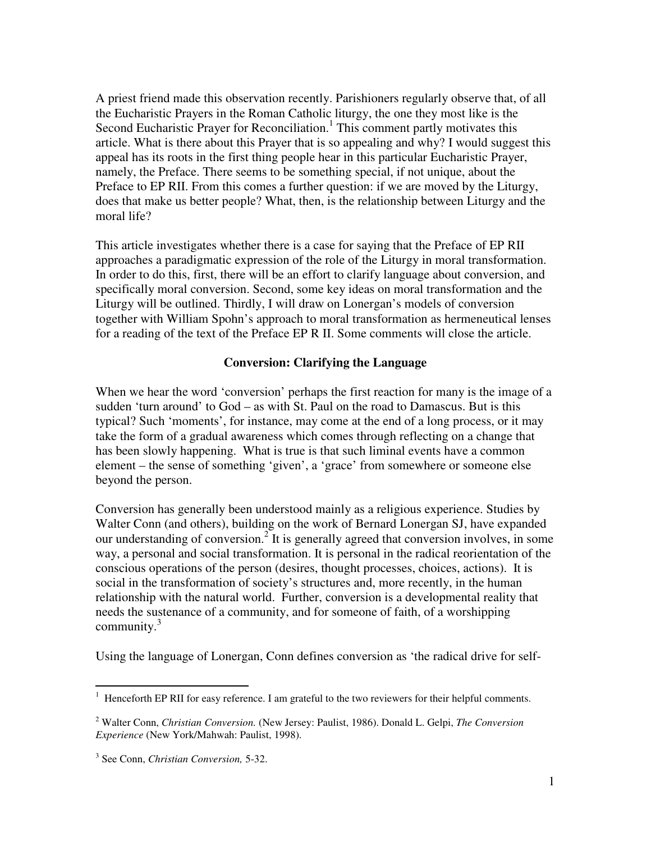A priest friend made this observation recently. Parishioners regularly observe that, of all the Eucharistic Prayers in the Roman Catholic liturgy, the one they most like is the Second Eucharistic Prayer for Reconciliation.<sup>1</sup> This comment partly motivates this article. What is there about this Prayer that is so appealing and why? I would suggest this appeal has its roots in the first thing people hear in this particular Eucharistic Prayer, namely, the Preface. There seems to be something special, if not unique, about the Preface to EP RII. From this comes a further question: if we are moved by the Liturgy, does that make us better people? What, then, is the relationship between Liturgy and the moral life?

This article investigates whether there is a case for saying that the Preface of EP RII approaches a paradigmatic expression of the role of the Liturgy in moral transformation. In order to do this, first, there will be an effort to clarify language about conversion, and specifically moral conversion. Second, some key ideas on moral transformation and the Liturgy will be outlined. Thirdly, I will draw on Lonergan's models of conversion together with William Spohn's approach to moral transformation as hermeneutical lenses for a reading of the text of the Preface EP R II. Some comments will close the article.

# **Conversion: Clarifying the Language**

When we hear the word 'conversion' perhaps the first reaction for many is the image of a sudden 'turn around' to God – as with St. Paul on the road to Damascus. But is this typical? Such 'moments', for instance, may come at the end of a long process, or it may take the form of a gradual awareness which comes through reflecting on a change that has been slowly happening. What is true is that such liminal events have a common element – the sense of something 'given', a 'grace' from somewhere or someone else beyond the person.

Conversion has generally been understood mainly as a religious experience. Studies by Walter Conn (and others), building on the work of Bernard Lonergan SJ, have expanded our understanding of conversion.<sup>2</sup> It is generally agreed that conversion involves, in some way, a personal and social transformation. It is personal in the radical reorientation of the conscious operations of the person (desires, thought processes, choices, actions). It is social in the transformation of society's structures and, more recently, in the human relationship with the natural world. Further, conversion is a developmental reality that needs the sustenance of a community, and for someone of faith, of a worshipping community. $3$ 

Using the language of Lonergan, Conn defines conversion as 'the radical drive for self-

 1 Henceforth EP RII for easy reference. I am grateful to the two reviewers for their helpful comments.

<sup>2</sup> Walter Conn, *Christian Conversion.* (New Jersey: Paulist, 1986). Donald L. Gelpi, *The Conversion Experience* (New York/Mahwah: Paulist, 1998).

<sup>3</sup> See Conn, *Christian Conversion,* 5-32.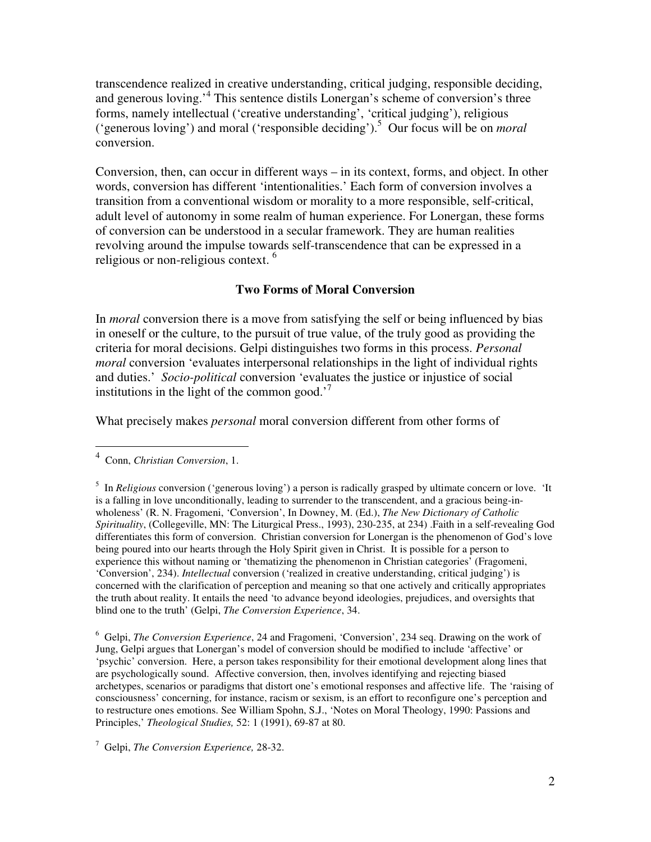transcendence realized in creative understanding, critical judging, responsible deciding, and generous loving.'<sup>4</sup> This sentence distils Lonergan's scheme of conversion's three forms, namely intellectual ('creative understanding', 'critical judging'), religious ('generous loving') and moral ('responsible deciding').<sup>5</sup> Our focus will be on *moral* conversion.

Conversion, then, can occur in different ways – in its context, forms, and object. In other words, conversion has different 'intentionalities.' Each form of conversion involves a transition from a conventional wisdom or morality to a more responsible, self-critical, adult level of autonomy in some realm of human experience. For Lonergan, these forms of conversion can be understood in a secular framework. They are human realities revolving around the impulse towards self-transcendence that can be expressed in a religious or non-religious context. <sup>6</sup>

# **Two Forms of Moral Conversion**

In *moral* conversion there is a move from satisfying the self or being influenced by bias in oneself or the culture, to the pursuit of true value, of the truly good as providing the criteria for moral decisions. Gelpi distinguishes two forms in this process. *Personal moral* conversion 'evaluates interpersonal relationships in the light of individual rights and duties.' *Socio-political* conversion 'evaluates the justice or injustice of social institutions in the light of the common good.<sup> $7$ </sup>

What precisely makes *personal* moral conversion different from other forms of

<sup>4</sup> Conn, *Christian Conversion*, 1.

<sup>&</sup>lt;sup>5</sup> In *Religious* conversion ('generous loving') a person is radically grasped by ultimate concern or love. 'It is a falling in love unconditionally, leading to surrender to the transcendent, and a gracious being-inwholeness' (R. N. Fragomeni, 'Conversion', In Downey, M. (Ed.), *The New Dictionary of Catholic Spirituality*, (Collegeville, MN: The Liturgical Press., 1993), 230-235, at 234) .Faith in a self-revealing God differentiates this form of conversion. Christian conversion for Lonergan is the phenomenon of God's love being poured into our hearts through the Holy Spirit given in Christ. It is possible for a person to experience this without naming or 'thematizing the phenomenon in Christian categories' (Fragomeni, 'Conversion', 234). *Intellectual* conversion ('realized in creative understanding, critical judging') is concerned with the clarification of perception and meaning so that one actively and critically appropriates the truth about reality. It entails the need 'to advance beyond ideologies, prejudices, and oversights that blind one to the truth' (Gelpi, *The Conversion Experience*, 34.

<sup>6</sup> Gelpi, *The Conversion Experience*, 24 and Fragomeni, 'Conversion', 234 seq. Drawing on the work of Jung, Gelpi argues that Lonergan's model of conversion should be modified to include 'affective' or 'psychic' conversion. Here, a person takes responsibility for their emotional development along lines that are psychologically sound. Affective conversion, then, involves identifying and rejecting biased archetypes, scenarios or paradigms that distort one's emotional responses and affective life. The 'raising of consciousness' concerning, for instance, racism or sexism, is an effort to reconfigure one's perception and to restructure ones emotions. See William Spohn, S.J., 'Notes on Moral Theology, 1990: Passions and Principles,' *Theological Studies,* 52: 1 (1991), 69-87 at 80.

<sup>7</sup> Gelpi, *The Conversion Experience,* 28-32.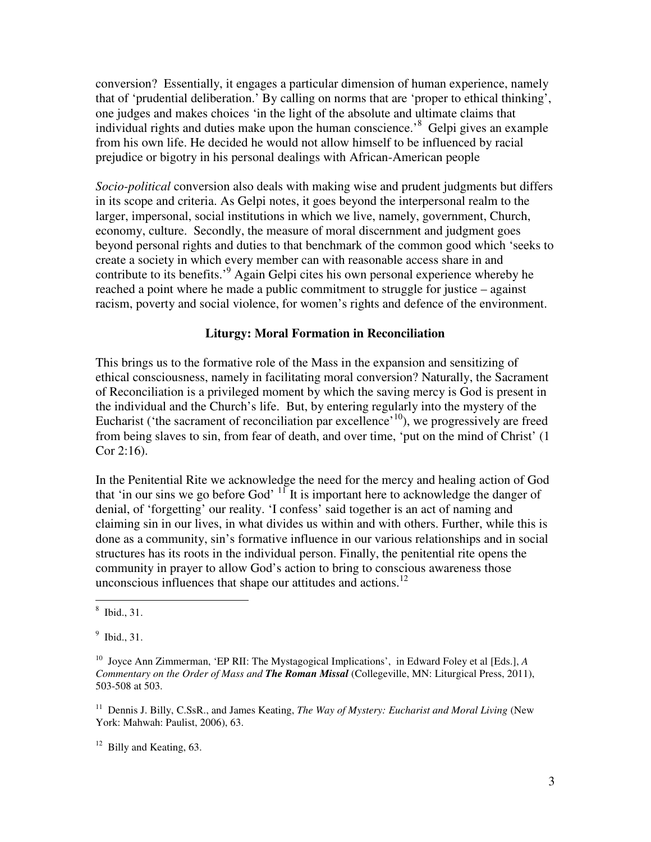conversion? Essentially, it engages a particular dimension of human experience, namely that of 'prudential deliberation.' By calling on norms that are 'proper to ethical thinking', one judges and makes choices 'in the light of the absolute and ultimate claims that individual rights and duties make upon the human conscience.<sup>8</sup> Gelpi gives an example from his own life. He decided he would not allow himself to be influenced by racial prejudice or bigotry in his personal dealings with African-American people

*Socio-political* conversion also deals with making wise and prudent judgments but differs in its scope and criteria. As Gelpi notes, it goes beyond the interpersonal realm to the larger, impersonal, social institutions in which we live, namely, government, Church, economy, culture. Secondly, the measure of moral discernment and judgment goes beyond personal rights and duties to that benchmark of the common good which 'seeks to create a society in which every member can with reasonable access share in and contribute to its benefits.<sup>9</sup> Again Gelpi cites his own personal experience whereby he reached a point where he made a public commitment to struggle for justice – against racism, poverty and social violence, for women's rights and defence of the environment.

## **Liturgy: Moral Formation in Reconciliation**

This brings us to the formative role of the Mass in the expansion and sensitizing of ethical consciousness, namely in facilitating moral conversion? Naturally, the Sacrament of Reconciliation is a privileged moment by which the saving mercy is God is present in the individual and the Church's life. But, by entering regularly into the mystery of the Eucharist ('the sacrament of reconciliation par excellence'<sup>10</sup>), we progressively are freed from being slaves to sin, from fear of death, and over time, 'put on the mind of Christ' (1 Cor 2:16).

In the Penitential Rite we acknowledge the need for the mercy and healing action of God that 'in our sins we go before God'  $\frac{11}{11}$  It is important here to acknowledge the danger of denial, of 'forgetting' our reality. 'I confess' said together is an act of naming and claiming sin in our lives, in what divides us within and with others. Further, while this is done as a community, sin's formative influence in our various relationships and in social structures has its roots in the individual person. Finally, the penitential rite opens the community in prayer to allow God's action to bring to conscious awareness those unconscious influences that shape our attitudes and actions. $12$ 

 8 Ibid., 31.

<sup>9</sup> Ibid., 31.

<sup>10</sup> Joyce Ann Zimmerman, 'EP RII: The Mystagogical Implications', in Edward Foley et al [Eds.], *A Commentary on the Order of Mass and The Roman Missal* (Collegeville, MN: Liturgical Press, 2011), 503-508 at 503.

<sup>&</sup>lt;sup>11</sup> Dennis J. Billy, C.SsR., and James Keating, *The Way of Mystery: Eucharist and Moral Living* (New York: Mahwah: Paulist, 2006), 63.

 $12$  Billy and Keating, 63.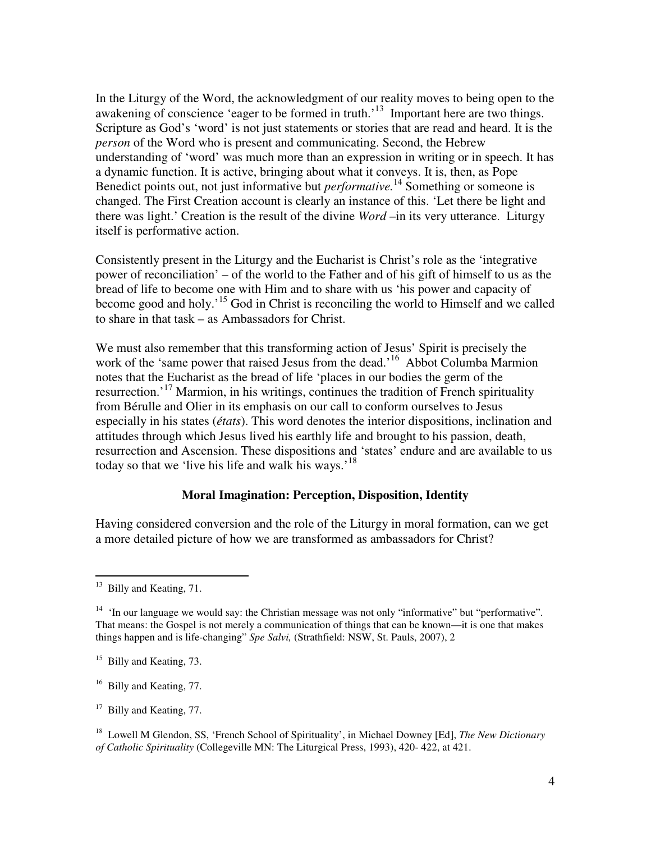In the Liturgy of the Word, the acknowledgment of our reality moves to being open to the awakening of conscience 'eager to be formed in truth.'<sup>13</sup> Important here are two things. Scripture as God's 'word' is not just statements or stories that are read and heard. It is the *person* of the Word who is present and communicating. Second, the Hebrew understanding of 'word' was much more than an expression in writing or in speech. It has a dynamic function. It is active, bringing about what it conveys. It is, then, as Pope Benedict points out, not just informative but *performative.*<sup>14</sup> Something or someone is changed. The First Creation account is clearly an instance of this. 'Let there be light and there was light.' Creation is the result of the divine *Word* –in its very utterance. Liturgy itself is performative action.

Consistently present in the Liturgy and the Eucharist is Christ's role as the 'integrative power of reconciliation' – of the world to the Father and of his gift of himself to us as the bread of life to become one with Him and to share with us 'his power and capacity of become good and holy.'<sup>15</sup> God in Christ is reconciling the world to Himself and we called to share in that task – as Ambassadors for Christ.

We must also remember that this transforming action of Jesus' Spirit is precisely the work of the 'same power that raised Jesus from the dead.<sup>16</sup> Abbot Columba Marmion notes that the Eucharist as the bread of life 'places in our bodies the germ of the resurrection.<sup>17</sup> Marmion, in his writings, continues the tradition of French spirituality from Bérulle and Olier in its emphasis on our call to conform ourselves to Jesus especially in his states (*états*). This word denotes the interior dispositions, inclination and attitudes through which Jesus lived his earthly life and brought to his passion, death, resurrection and Ascension. These dispositions and 'states' endure and are available to us today so that we 'live his life and walk his ways.'<sup>18</sup>

## **Moral Imagination: Perception, Disposition, Identity**

Having considered conversion and the role of the Liturgy in moral formation, can we get a more detailed picture of how we are transformed as ambassadors for Christ?

 $13$  Billy and Keating, 71.

<sup>&</sup>lt;sup>14</sup> 'In our language we would say: the Christian message was not only "informative" but "performative". That means: the Gospel is not merely a communication of things that can be known—it is one that makes things happen and is life-changing" *Spe Salvi,* (Strathfield: NSW, St. Pauls, 2007), 2

<sup>&</sup>lt;sup>15</sup> Billy and Keating, 73.

<sup>&</sup>lt;sup>16</sup> Billy and Keating, 77.

<sup>&</sup>lt;sup>17</sup> Billy and Keating, 77.

<sup>18</sup> Lowell M Glendon, SS, 'French School of Spirituality', in Michael Downey [Ed], *The New Dictionary of Catholic Spirituality* (Collegeville MN: The Liturgical Press, 1993), 420- 422, at 421.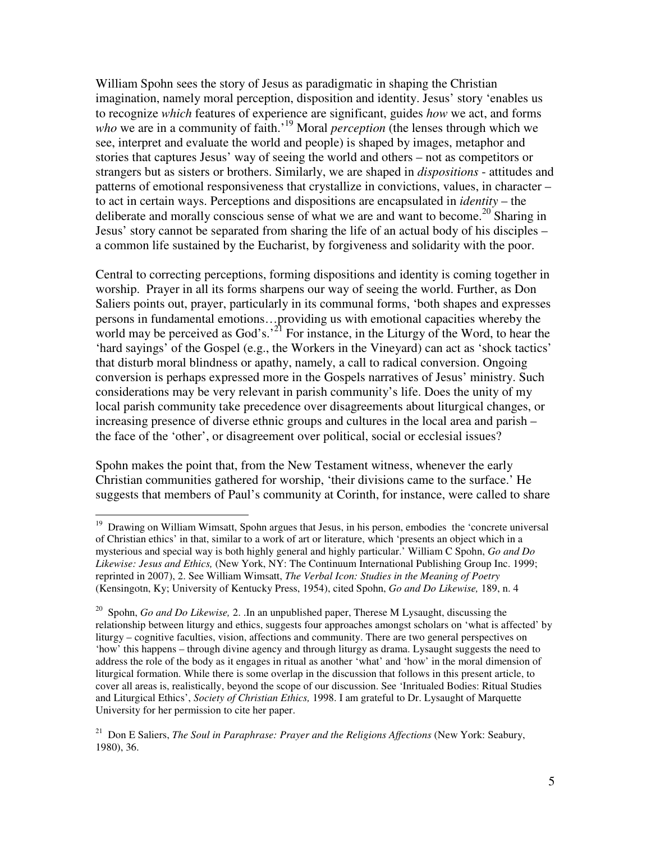William Spohn sees the story of Jesus as paradigmatic in shaping the Christian imagination, namely moral perception, disposition and identity. Jesus' story 'enables us to recognize *which* features of experience are significant, guides *how* we act, and forms *who* we are in a community of faith.<sup>19</sup> Moral *perception* (the lenses through which we see, interpret and evaluate the world and people) is shaped by images, metaphor and stories that captures Jesus' way of seeing the world and others – not as competitors or strangers but as sisters or brothers. Similarly, we are shaped in *dispositions* - attitudes and patterns of emotional responsiveness that crystallize in convictions, values, in character – to act in certain ways. Perceptions and dispositions are encapsulated in *identity* – the deliberate and morally conscious sense of what we are and want to become.<sup>20</sup> Sharing in Jesus' story cannot be separated from sharing the life of an actual body of his disciples – a common life sustained by the Eucharist, by forgiveness and solidarity with the poor.

Central to correcting perceptions, forming dispositions and identity is coming together in worship. Prayer in all its forms sharpens our way of seeing the world. Further, as Don Saliers points out, prayer, particularly in its communal forms, 'both shapes and expresses persons in fundamental emotions…providing us with emotional capacities whereby the world may be perceived as God's.<sup>21</sup> For instance, in the Liturgy of the Word, to hear the 'hard sayings' of the Gospel (e.g., the Workers in the Vineyard) can act as 'shock tactics' that disturb moral blindness or apathy, namely, a call to radical conversion. Ongoing conversion is perhaps expressed more in the Gospels narratives of Jesus' ministry. Such considerations may be very relevant in parish community's life. Does the unity of my local parish community take precedence over disagreements about liturgical changes, or increasing presence of diverse ethnic groups and cultures in the local area and parish – the face of the 'other', or disagreement over political, social or ecclesial issues?

Spohn makes the point that, from the New Testament witness, whenever the early Christian communities gathered for worship, 'their divisions came to the surface.' He suggests that members of Paul's community at Corinth, for instance, were called to share

<sup>&</sup>lt;sup>19</sup> Drawing on William Wimsatt, Spohn argues that Jesus, in his person, embodies the 'concrete universal of Christian ethics' in that, similar to a work of art or literature, which 'presents an object which in a mysterious and special way is both highly general and highly particular.' William C Spohn, *Go and Do Likewise: Jesus and Ethics,* (New York, NY: The Continuum International Publishing Group Inc. 1999; reprinted in 2007), 2. See William Wimsatt, *The Verbal Icon: Studies in the Meaning of Poetry*  (Kensingotn, Ky; University of Kentucky Press, 1954), cited Spohn, *Go and Do Likewise,* 189, n. 4

<sup>20</sup> Spohn, *Go and Do Likewise,* 2. .In an unpublished paper, Therese M Lysaught, discussing the relationship between liturgy and ethics, suggests four approaches amongst scholars on 'what is affected' by liturgy – cognitive faculties, vision, affections and community. There are two general perspectives on 'how' this happens – through divine agency and through liturgy as drama. Lysaught suggests the need to address the role of the body as it engages in ritual as another 'what' and 'how' in the moral dimension of liturgical formation. While there is some overlap in the discussion that follows in this present article, to cover all areas is, realistically, beyond the scope of our discussion. See 'Inritualed Bodies: Ritual Studies and Liturgical Ethics', *Society of Christian Ethics,* 1998. I am grateful to Dr. Lysaught of Marquette University for her permission to cite her paper.

<sup>&</sup>lt;sup>21</sup> Don E Saliers, *The Soul in Paraphrase: Prayer and the Religions Affections* (New York: Seabury, 1980), 36.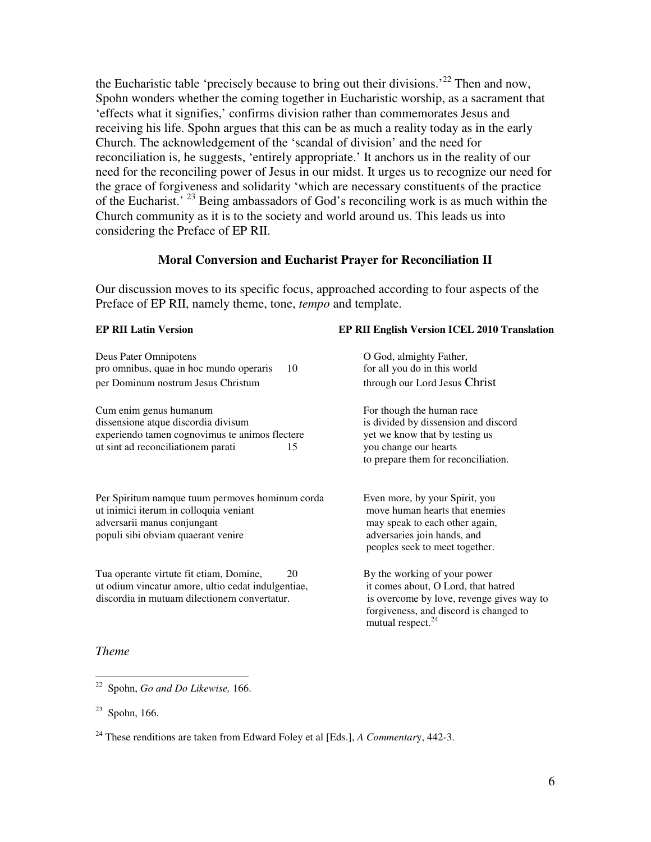the Eucharistic table 'precisely because to bring out their divisions.<sup>22</sup> Then and now, Spohn wonders whether the coming together in Eucharistic worship, as a sacrament that 'effects what it signifies,' confirms division rather than commemorates Jesus and receiving his life. Spohn argues that this can be as much a reality today as in the early Church. The acknowledgement of the 'scandal of division' and the need for reconciliation is, he suggests, 'entirely appropriate.' It anchors us in the reality of our need for the reconciling power of Jesus in our midst. It urges us to recognize our need for the grace of forgiveness and solidarity 'which are necessary constituents of the practice of the Eucharist.' <sup>23</sup> Being ambassadors of God's reconciling work is as much within the Church community as it is to the society and world around us. This leads us into considering the Preface of EP RII.

#### **Moral Conversion and Eucharist Prayer for Reconciliation II**

Our discussion moves to its specific focus, approached according to four aspects of the Preface of EP RII, namely theme, tone, *tempo* and template.

| <b>EP RII Latin Version</b>                                                                                                                                    | EP RII English Version ICEL 2010 Translation                                                                                                                                                |
|----------------------------------------------------------------------------------------------------------------------------------------------------------------|---------------------------------------------------------------------------------------------------------------------------------------------------------------------------------------------|
| Deus Pater Omnipotens<br>pro omnibus, quae in hoc mundo operaris<br>10<br>per Dominum nostrum Jesus Christum                                                   | O God, almighty Father,<br>for all you do in this world<br>through our Lord Jesus Christ                                                                                                    |
| Cum enim genus humanum<br>dissensione atque discordia divisum<br>experiendo tamen cognovimus te animos flectere<br>ut sint ad reconciliationem parati<br>15    | For though the human race<br>is divided by dissension and discord<br>yet we know that by testing us<br>you change our hearts<br>to prepare them for reconciliation.                         |
| Per Spiritum namque tuum permoves hominum corda<br>ut inimici iterum in colloquia veniant<br>adversarii manus conjungant<br>populi sibi obviam quaerant venire | Even more, by your Spirit, you<br>move human hearts that enemies<br>may speak to each other again,<br>adversaries join hands, and<br>peoples seek to meet together.                         |
| Tua operante virtute fit etiam, Domine,<br>20<br>ut odium vincatur amore, ultio cedat indulgentiae,<br>discordia in mutuam dilectionem convertatur.            | By the working of your power<br>it comes about, O Lord, that hatred<br>is overcome by love, revenge gives way to<br>forgiveness, and discord is changed to<br>mutual respect. <sup>24</sup> |

## *Theme*

<sup>22</sup> Spohn, *Go and Do Likewise,* 166.

 $23$  Spohn, 166.

<sup>24</sup> These renditions are taken from Edward Foley et al [Eds.], *A Commentar*y, 442-3.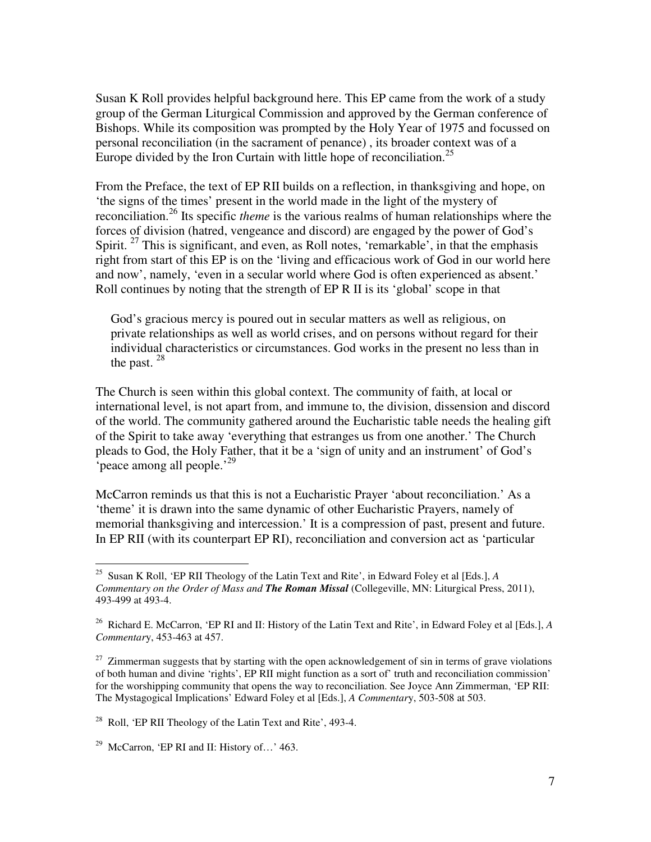Susan K Roll provides helpful background here. This EP came from the work of a study group of the German Liturgical Commission and approved by the German conference of Bishops. While its composition was prompted by the Holy Year of 1975 and focussed on personal reconciliation (in the sacrament of penance) , its broader context was of a Europe divided by the Iron Curtain with little hope of reconciliation.<sup>25</sup>

From the Preface, the text of EP RII builds on a reflection, in thanksgiving and hope, on 'the signs of the times' present in the world made in the light of the mystery of reconciliation.<sup>26</sup> Its specific *theme* is the various realms of human relationships where the forces of division (hatred, vengeance and discord) are engaged by the power of God's Spirit.  $27$  This is significant, and even, as Roll notes, 'remarkable', in that the emphasis right from start of this EP is on the 'living and efficacious work of God in our world here and now', namely, 'even in a secular world where God is often experienced as absent.' Roll continues by noting that the strength of EP R II is its 'global' scope in that

God's gracious mercy is poured out in secular matters as well as religious, on private relationships as well as world crises, and on persons without regard for their individual characteristics or circumstances. God works in the present no less than in the past.  $28$ 

The Church is seen within this global context. The community of faith, at local or international level, is not apart from, and immune to, the division, dissension and discord of the world. The community gathered around the Eucharistic table needs the healing gift of the Spirit to take away 'everything that estranges us from one another.' The Church pleads to God, the Holy Father, that it be a 'sign of unity and an instrument' of God's 'peace among all people.'<sup>29</sup>

McCarron reminds us that this is not a Eucharistic Prayer 'about reconciliation.' As a 'theme' it is drawn into the same dynamic of other Eucharistic Prayers, namely of memorial thanksgiving and intercession.' It is a compression of past, present and future. In EP RII (with its counterpart EP RI), reconciliation and conversion act as 'particular

-

<sup>25</sup> Susan K Roll, 'EP RII Theology of the Latin Text and Rite', in Edward Foley et al [Eds.], *A Commentary on the Order of Mass and The Roman Missal* (Collegeville, MN: Liturgical Press, 2011), 493-499 at 493-4.

<sup>26</sup> Richard E. McCarron, 'EP RI and II: History of the Latin Text and Rite', in Edward Foley et al [Eds.], *A Commentar*y, 453-463 at 457.

 $27$  Zimmerman suggests that by starting with the open acknowledgement of sin in terms of grave violations of both human and divine 'rights', EP RII might function as a sort of' truth and reconciliation commission' for the worshipping community that opens the way to reconciliation. See Joyce Ann Zimmerman, 'EP RII: The Mystagogical Implications' Edward Foley et al [Eds.], *A Commentar*y, 503-508 at 503.

 $^{28}$  Roll, 'EP RII Theology of the Latin Text and Rite', 493-4.

<sup>&</sup>lt;sup>29</sup> McCarron, 'EP RI and II: History of...' 463.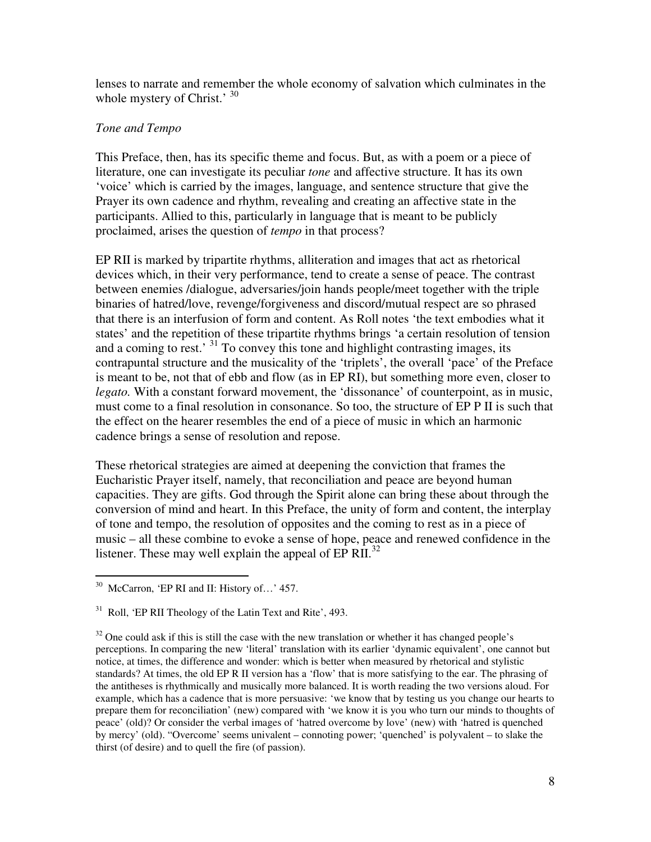lenses to narrate and remember the whole economy of salvation which culminates in the whole mystery of Christ.' 30

# *Tone and Tempo*

This Preface, then, has its specific theme and focus. But, as with a poem or a piece of literature, one can investigate its peculiar *tone* and affective structure. It has its own 'voice' which is carried by the images, language, and sentence structure that give the Prayer its own cadence and rhythm, revealing and creating an affective state in the participants. Allied to this, particularly in language that is meant to be publicly proclaimed, arises the question of *tempo* in that process?

EP RII is marked by tripartite rhythms, alliteration and images that act as rhetorical devices which, in their very performance, tend to create a sense of peace. The contrast between enemies /dialogue, adversaries/join hands people/meet together with the triple binaries of hatred/love, revenge/forgiveness and discord/mutual respect are so phrased that there is an interfusion of form and content. As Roll notes 'the text embodies what it states' and the repetition of these tripartite rhythms brings 'a certain resolution of tension and a coming to rest.' <sup>31</sup> To convey this tone and highlight contrasting images, its contrapuntal structure and the musicality of the 'triplets', the overall 'pace' of the Preface is meant to be, not that of ebb and flow (as in EP RI), but something more even, closer to *legato.* With a constant forward movement, the 'dissonance' of counterpoint, as in music, must come to a final resolution in consonance. So too, the structure of EP P II is such that the effect on the hearer resembles the end of a piece of music in which an harmonic cadence brings a sense of resolution and repose.

These rhetorical strategies are aimed at deepening the conviction that frames the Eucharistic Prayer itself, namely, that reconciliation and peace are beyond human capacities. They are gifts. God through the Spirit alone can bring these about through the conversion of mind and heart. In this Preface, the unity of form and content, the interplay of tone and tempo, the resolution of opposites and the coming to rest as in a piece of music – all these combine to evoke a sense of hope, peace and renewed confidence in the listener. These may well explain the appeal of  $EP$   $RII.^{32}$ 

 $\overline{a}$ <sup>30</sup> McCarron, 'EP RI and II: History of...' 457.

 $31$  Roll, 'EP RII Theology of the Latin Text and Rite', 493.

 $32$  One could ask if this is still the case with the new translation or whether it has changed people's perceptions. In comparing the new 'literal' translation with its earlier 'dynamic equivalent', one cannot but notice, at times, the difference and wonder: which is better when measured by rhetorical and stylistic standards? At times, the old EP R II version has a 'flow' that is more satisfying to the ear. The phrasing of the antitheses is rhythmically and musically more balanced. It is worth reading the two versions aloud. For example, which has a cadence that is more persuasive: 'we know that by testing us you change our hearts to prepare them for reconciliation' (new) compared with 'we know it is you who turn our minds to thoughts of peace' (old)? Or consider the verbal images of 'hatred overcome by love' (new) with 'hatred is quenched by mercy' (old). "Overcome' seems univalent – connoting power; 'quenched' is polyvalent – to slake the thirst (of desire) and to quell the fire (of passion).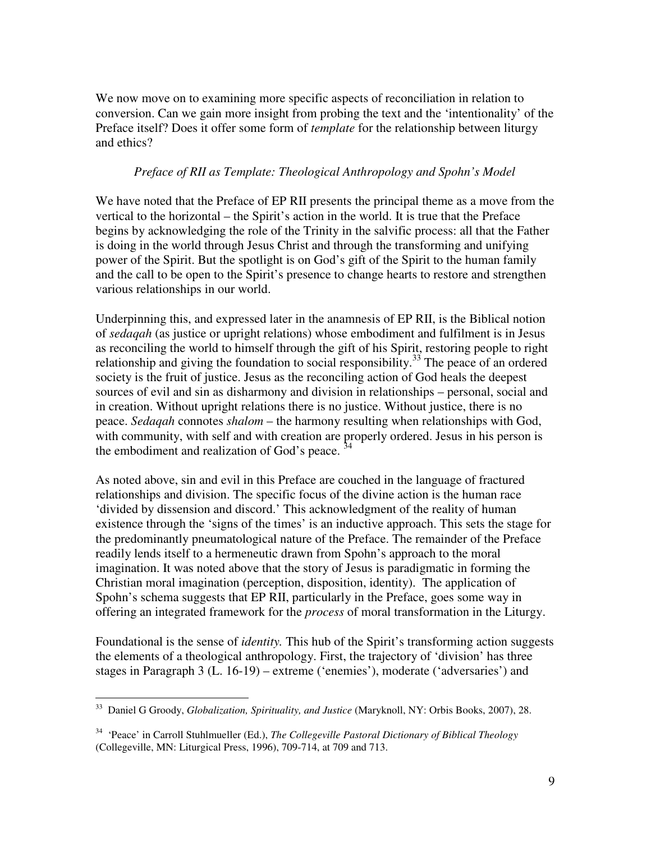We now move on to examining more specific aspects of reconciliation in relation to conversion. Can we gain more insight from probing the text and the 'intentionality' of the Preface itself? Does it offer some form of *template* for the relationship between liturgy and ethics?

# *Preface of RII as Template: Theological Anthropology and Spohn's Model*

We have noted that the Preface of EP RII presents the principal theme as a move from the vertical to the horizontal – the Spirit's action in the world. It is true that the Preface begins by acknowledging the role of the Trinity in the salvific process: all that the Father is doing in the world through Jesus Christ and through the transforming and unifying power of the Spirit. But the spotlight is on God's gift of the Spirit to the human family and the call to be open to the Spirit's presence to change hearts to restore and strengthen various relationships in our world.

Underpinning this, and expressed later in the anamnesis of EP RII, is the Biblical notion of *sedaqah* (as justice or upright relations) whose embodiment and fulfilment is in Jesus as reconciling the world to himself through the gift of his Spirit, restoring people to right relationship and giving the foundation to social responsibility.<sup>33</sup> The peace of an ordered society is the fruit of justice. Jesus as the reconciling action of God heals the deepest sources of evil and sin as disharmony and division in relationships – personal, social and in creation. Without upright relations there is no justice. Without justice, there is no peace. *Sedaqah* connotes *shalom* – the harmony resulting when relationships with God, with community, with self and with creation are properly ordered. Jesus in his person is the embodiment and realization of God's peace.  $34$ 

As noted above, sin and evil in this Preface are couched in the language of fractured relationships and division. The specific focus of the divine action is the human race 'divided by dissension and discord.' This acknowledgment of the reality of human existence through the 'signs of the times' is an inductive approach. This sets the stage for the predominantly pneumatological nature of the Preface. The remainder of the Preface readily lends itself to a hermeneutic drawn from Spohn's approach to the moral imagination. It was noted above that the story of Jesus is paradigmatic in forming the Christian moral imagination (perception, disposition, identity). The application of Spohn's schema suggests that EP RII, particularly in the Preface, goes some way in offering an integrated framework for the *process* of moral transformation in the Liturgy.

Foundational is the sense of *identity.* This hub of the Spirit's transforming action suggests the elements of a theological anthropology. First, the trajectory of 'division' has three stages in Paragraph 3 (L. 16-19) – extreme ('enemies'), moderate ('adversaries') and

 $\overline{a}$ <sup>33</sup> Daniel G Groody, *Globalization, Spirituality, and Justice* (Maryknoll, NY: Orbis Books, 2007), 28.

<sup>34</sup> 'Peace' in Carroll Stuhlmueller (Ed.), *The Collegeville Pastoral Dictionary of Biblical Theology*  (Collegeville, MN: Liturgical Press, 1996), 709-714, at 709 and 713.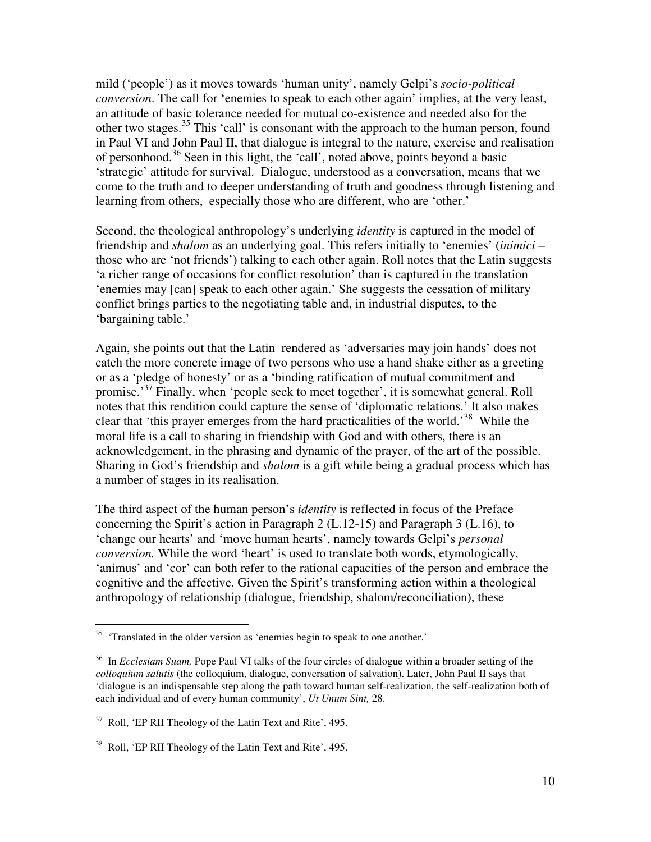mild ('people') as it moves towards 'human unity', namely Gelpi's *socio-political conversion*. The call for 'enemies to speak to each other again' implies, at the very least, an attitude of basic tolerance needed for mutual co-existence and needed also for the other two stages.<sup>35</sup> This 'call' is consonant with the approach to the human person, found in Paul VI and John Paul II, that dialogue is integral to the nature, exercise and realisation of personhood.<sup>36</sup> Seen in this light, the 'call', noted above, points beyond a basic 'strategic' attitude for survival. Dialogue, understood as a conversation, means that we come to the truth and to deeper understanding of truth and goodness through listening and learning from others, especially those who are different, who are 'other.'

Second, the theological anthropology's underlying *identity* is captured in the model of friendship and *shalom* as an underlying goal. This refers initially to 'enemies' (*inimici –*  those who are 'not friends') talking to each other again. Roll notes that the Latin suggests 'a richer range of occasions for conflict resolution' than is captured in the translation 'enemies may [can] speak to each other again.' She suggests the cessation of military conflict brings parties to the negotiating table and, in industrial disputes, to the 'bargaining table.'

Again, she points out that the Latin rendered as 'adversaries may join hands' does not catch the more concrete image of two persons who use a hand shake either as a greeting or as a 'pledge of honesty' or as a 'binding ratification of mutual commitment and promise.<sup>37</sup> Finally, when 'people seek to meet together', it is somewhat general. Roll notes that this rendition could capture the sense of 'diplomatic relations.' It also makes clear that 'this prayer emerges from the hard practicalities of the world.'<sup>38</sup> While the moral life is a call to sharing in friendship with God and with others, there is an acknowledgement, in the phrasing and dynamic of the prayer, of the art of the possible. Sharing in God's friendship and *shalom* is a gift while being a gradual process which has a number of stages in its realisation.

The third aspect of the human person's *identity* is reflected in focus of the Preface concerning the Spirit's action in Paragraph 2 (L.12-15) and Paragraph 3 (L.16), to 'change our hearts' and 'move human hearts', namely towards Gelpi's *personal conversion.* While the word 'heart' is used to translate both words, etymologically, 'animus' and 'cor' can both refer to the rational capacities of the person and embrace the cognitive and the affective. Given the Spirit's transforming action within a theological anthropology of relationship (dialogue, friendship, shalom/reconciliation), these

<sup>-</sup><sup>35</sup> 'Translated in the older version as 'enemies begin to speak to one another.'

<sup>36</sup> In *Ecclesiam Suam,* Pope Paul VI talks of the four circles of dialogue within a broader setting of the *colloquium salutis* (the colloquium, dialogue, conversation of salvation). Later, John Paul II says that 'dialogue is an indispensable step along the path toward human self-realization, the self-realization both of each individual and of every human community', *Ut Unum Sint,* 28.

 $37$  Roll, 'EP RII Theology of the Latin Text and Rite', 495.

<sup>38</sup> Roll, 'EP RII Theology of the Latin Text and Rite', 495.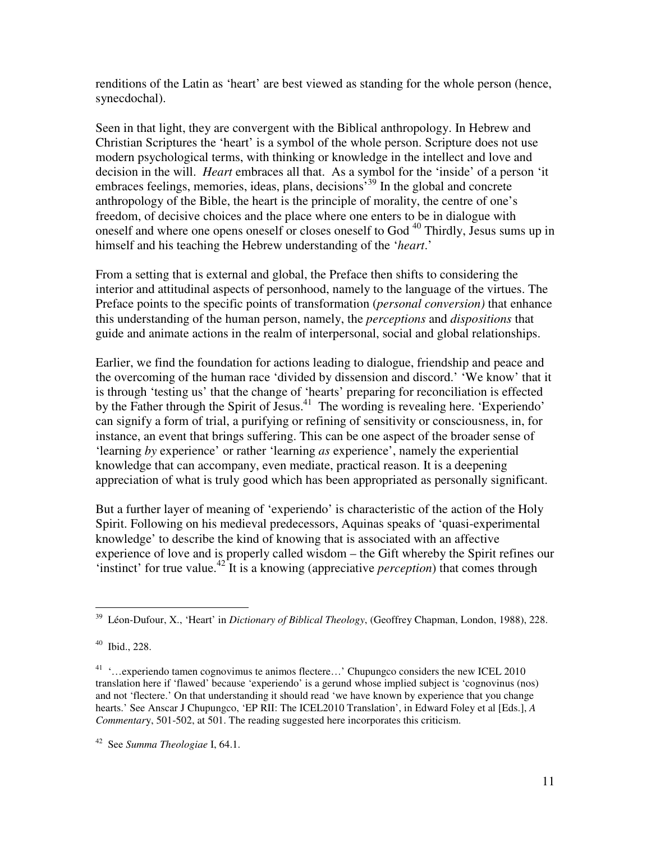renditions of the Latin as 'heart' are best viewed as standing for the whole person (hence, synecdochal).

Seen in that light, they are convergent with the Biblical anthropology. In Hebrew and Christian Scriptures the 'heart' is a symbol of the whole person. Scripture does not use modern psychological terms, with thinking or knowledge in the intellect and love and decision in the will. *Heart* embraces all that. As a symbol for the 'inside' of a person 'it embraces feelings, memories, ideas, plans, decisions<sup>39</sup> In the global and concrete anthropology of the Bible, the heart is the principle of morality, the centre of one's freedom, of decisive choices and the place where one enters to be in dialogue with oneself and where one opens oneself or closes oneself to God<sup>40</sup> Thirdly, Jesus sums up in himself and his teaching the Hebrew understanding of the '*heart*.'

From a setting that is external and global, the Preface then shifts to considering the interior and attitudinal aspects of personhood, namely to the language of the virtues. The Preface points to the specific points of transformation (*personal conversion)* that enhance this understanding of the human person, namely, the *perceptions* and *dispositions* that guide and animate actions in the realm of interpersonal, social and global relationships.

Earlier, we find the foundation for actions leading to dialogue, friendship and peace and the overcoming of the human race 'divided by dissension and discord.' 'We know' that it is through 'testing us' that the change of 'hearts' preparing for reconciliation is effected by the Father through the Spirit of Jesus.<sup>41</sup> The wording is revealing here. 'Experiendo' can signify a form of trial, a purifying or refining of sensitivity or consciousness, in, for instance, an event that brings suffering. This can be one aspect of the broader sense of 'learning *by* experience' or rather 'learning *as* experience', namely the experiential knowledge that can accompany, even mediate, practical reason. It is a deepening appreciation of what is truly good which has been appropriated as personally significant.

But a further layer of meaning of 'experiendo' is characteristic of the action of the Holy Spirit. Following on his medieval predecessors, Aquinas speaks of 'quasi-experimental knowledge' to describe the kind of knowing that is associated with an affective experience of love and is properly called wisdom – the Gift whereby the Spirit refines our 'instinct' for true value.<sup>42</sup> It is a knowing (appreciative *perception*) that comes through

 $\overline{a}$ <sup>39</sup> Léon-Dufour, X., 'Heart' in *Dictionary of Biblical Theology*, (Geoffrey Chapman, London, 1988), 228.

 $40$  Ibid., 228.

<sup>&</sup>lt;sup>41</sup> '...experiendo tamen cognovimus te animos flectere...' Chupungco considers the new ICEL 2010 translation here if 'flawed' because 'experiendo' is a gerund whose implied subject is 'cognovinus (nos) and not 'flectere.' On that understanding it should read 'we have known by experience that you change hearts.' See Anscar J Chupungco, 'EP RII: The ICEL2010 Translation', in Edward Foley et al [Eds.], *A Commentar*y, 501-502, at 501. The reading suggested here incorporates this criticism.

<sup>42</sup> See *Summa Theologiae* I, 64.1.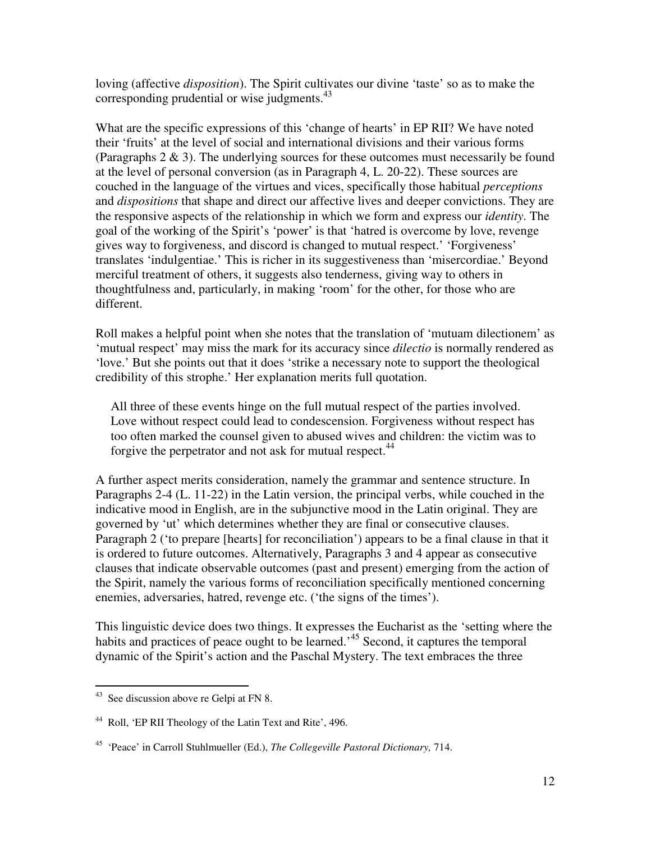loving (affective *disposition*). The Spirit cultivates our divine 'taste' so as to make the corresponding prudential or wise judgments.<sup>43</sup>

What are the specific expressions of this 'change of hearts' in EP RII? We have noted their 'fruits' at the level of social and international divisions and their various forms (Paragraphs 2 & 3). The underlying sources for these outcomes must necessarily be found at the level of personal conversion (as in Paragraph 4, L. 20-22). These sources are couched in the language of the virtues and vices, specifically those habitual *perceptions* and *dispositions* that shape and direct our affective lives and deeper convictions. They are the responsive aspects of the relationship in which we form and express our *identity*. The goal of the working of the Spirit's 'power' is that 'hatred is overcome by love, revenge gives way to forgiveness, and discord is changed to mutual respect.' 'Forgiveness' translates 'indulgentiae.' This is richer in its suggestiveness than 'misercordiae.' Beyond merciful treatment of others, it suggests also tenderness, giving way to others in thoughtfulness and, particularly, in making 'room' for the other, for those who are different.

Roll makes a helpful point when she notes that the translation of 'mutuam dilectionem' as 'mutual respect' may miss the mark for its accuracy since *dilectio* is normally rendered as 'love.' But she points out that it does 'strike a necessary note to support the theological credibility of this strophe.' Her explanation merits full quotation.

All three of these events hinge on the full mutual respect of the parties involved. Love without respect could lead to condescension. Forgiveness without respect has too often marked the counsel given to abused wives and children: the victim was to forgive the perpetrator and not ask for mutual respect.<sup>44</sup>

A further aspect merits consideration, namely the grammar and sentence structure. In Paragraphs 2-4 (L. 11-22) in the Latin version, the principal verbs, while couched in the indicative mood in English, are in the subjunctive mood in the Latin original. They are governed by 'ut' which determines whether they are final or consecutive clauses. Paragraph 2 ('to prepare [hearts] for reconciliation') appears to be a final clause in that it is ordered to future outcomes. Alternatively, Paragraphs 3 and 4 appear as consecutive clauses that indicate observable outcomes (past and present) emerging from the action of the Spirit, namely the various forms of reconciliation specifically mentioned concerning enemies, adversaries, hatred, revenge etc. ('the signs of the times').

This linguistic device does two things. It expresses the Eucharist as the 'setting where the habits and practices of peace ought to be learned.<sup>45</sup> Second, it captures the temporal dynamic of the Spirit's action and the Paschal Mystery. The text embraces the three

 $43$  See discussion above re Gelpi at FN 8.

<sup>44</sup> Roll, 'EP RII Theology of the Latin Text and Rite', 496.

<sup>45</sup> 'Peace' in Carroll Stuhlmueller (Ed.), *The Collegeville Pastoral Dictionary,* 714.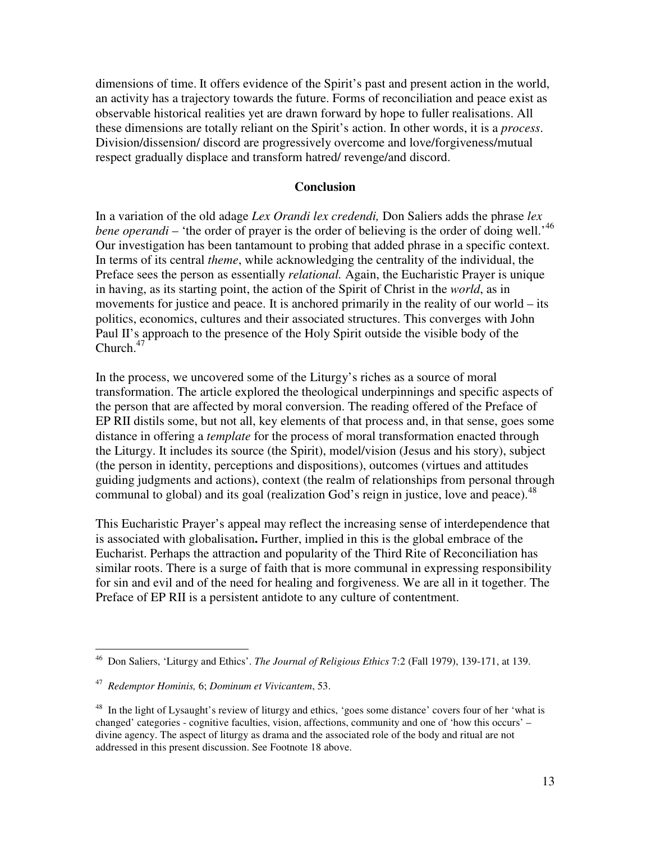dimensions of time. It offers evidence of the Spirit's past and present action in the world, an activity has a trajectory towards the future. Forms of reconciliation and peace exist as observable historical realities yet are drawn forward by hope to fuller realisations. All these dimensions are totally reliant on the Spirit's action. In other words, it is a *process*. Division/dissension/ discord are progressively overcome and love/forgiveness/mutual respect gradually displace and transform hatred/ revenge/and discord.

#### **Conclusion**

In a variation of the old adage *Lex Orandi lex credendi,* Don Saliers adds the phrase *lex*  bene operandi – 'the order of prayer is the order of believing is the order of doing well.<sup>46</sup> Our investigation has been tantamount to probing that added phrase in a specific context. In terms of its central *theme*, while acknowledging the centrality of the individual, the Preface sees the person as essentially *relational.* Again, the Eucharistic Prayer is unique in having, as its starting point, the action of the Spirit of Christ in the *world*, as in movements for justice and peace. It is anchored primarily in the reality of our world – its politics, economics, cultures and their associated structures. This converges with John Paul II's approach to the presence of the Holy Spirit outside the visible body of the Church. $47$ 

In the process, we uncovered some of the Liturgy's riches as a source of moral transformation. The article explored the theological underpinnings and specific aspects of the person that are affected by moral conversion. The reading offered of the Preface of EP RII distils some, but not all, key elements of that process and, in that sense, goes some distance in offering a *template* for the process of moral transformation enacted through the Liturgy. It includes its source (the Spirit), model/vision (Jesus and his story), subject (the person in identity, perceptions and dispositions), outcomes (virtues and attitudes guiding judgments and actions), context (the realm of relationships from personal through communal to global) and its goal (realization God's reign in justice, love and peace).<sup>48</sup>

This Eucharistic Prayer's appeal may reflect the increasing sense of interdependence that is associated with globalisation**.** Further, implied in this is the global embrace of the Eucharist. Perhaps the attraction and popularity of the Third Rite of Reconciliation has similar roots. There is a surge of faith that is more communal in expressing responsibility for sin and evil and of the need for healing and forgiveness. We are all in it together. The Preface of EP RII is a persistent antidote to any culture of contentment.

 $\overline{a}$ <sup>46</sup> Don Saliers, 'Liturgy and Ethics'. *The Journal of Religious Ethics* 7:2 (Fall 1979), 139-171, at 139.

<sup>47</sup> *Redemptor Hominis,* 6; *Dominum et Vivicantem*, 53.

<sup>&</sup>lt;sup>48</sup> In the light of Lysaught's review of liturgy and ethics, 'goes some distance' covers four of her 'what is changed' categories - cognitive faculties, vision, affections, community and one of 'how this occurs' – divine agency. The aspect of liturgy as drama and the associated role of the body and ritual are not addressed in this present discussion. See Footnote 18 above.